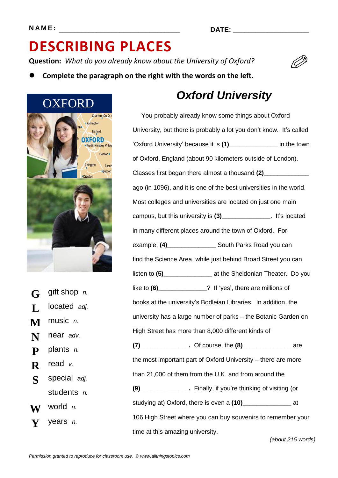**Question:** *What do you already know about the University of Oxford?*



**Complete the paragraph on the right with the words on the left.**



**G** gift shop *n.* **L** located *adj.* **M** music *n*. **N** near *adv.* **P** plants *n.* **R** read *v.* **S** special *adj.* students *n.* **W** world *n.* **Y** years *n.*

### *Oxford University*

You probably already know some things about Oxford University, but there is probably a lot you don't know. It's called 'Oxford University' because it is **(1)\_\_\_\_\_\_\_\_\_\_\_\_\_\_** in the town of Oxford, England (about 90 kilometers outside of London). Classes first began there almost a thousand **(2)\_\_\_\_\_\_\_\_\_\_\_\_\_** ago (in 1096), and it is one of the best universities in the world. Most colleges and universities are located on just one main campus, but this university is **(3)\_\_\_\_\_\_\_\_\_\_\_\_\_\_**. It's located in many different places around the town of Oxford. For example, **(4)\_\_\_\_\_\_\_\_\_\_\_\_\_\_** South Parks Road you can find the Science Area, while just behind Broad Street you can listen to **(5)\_\_\_\_\_\_\_\_\_\_\_\_\_\_** at the Sheldonian Theater. Do you like to **(6)\_\_\_\_\_\_\_\_\_\_\_\_\_\_**? If 'yes', there are millions of books at the university's Bodleian Libraries. In addition, the university has a large number of parks – the Botanic Garden on High Street has more than 8,000 different kinds of **(7)\_\_\_\_\_\_\_\_\_\_\_\_\_\_.** Of course, the **(8)\_\_\_\_\_\_\_\_\_\_\_\_\_\_** are the most important part of Oxford University – there are more than 21,000 of them from the U.K. and from around the **(9)\_\_\_\_\_\_\_\_\_\_\_\_\_\_.** Finally, if you're thinking of visiting (or studying at) Oxford, there is even a **(10)\_\_\_\_\_\_\_\_\_\_\_\_\_\_** at 106 High Street where you can buy souvenirs to remember your time at this amazing university.

*(about 215 words)*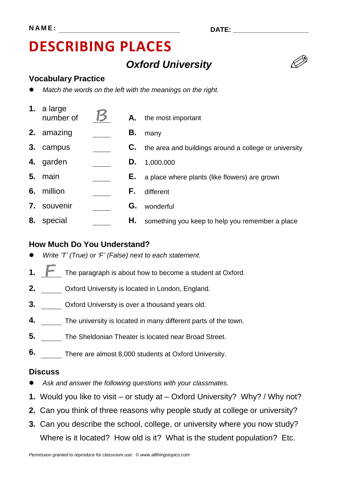### *Oxford University*

#### **Vocabulary Practice**

- *Match the words on the left with the meanings on the right.*
- **1.** a large  $\sum_{n=1}^{\infty}$  and  $\sum_{n=1}^{\infty}$  **A.** the most important **2.** amazing **B.** many
- **3.** campus **C.** the area and buildings around a college or university
- **4.** garden **D.** 1,000,000
- **5.** main **E.** a place where plants (like flowers) are grown
- **6.** million **F.** different
- **7.** souvenir **G.** wonderful
- **8.** special **H.** something you keep to help you remember a place

#### **How Much Do You Understand?**

- *Write 'T' (True) or 'F' (False) next to each statement.*
- **1.** The paragraph is about how to become a student at Oxford.
- **2.** Oxford University is located in London, England.
- **3.** Oxford University is over a thousand years old.
- **4.** The university is located in many different parts of the town.
- **5.** The Sheldonian Theater is located near Broad Street.
- **6.** There are almost 8,000 students at Oxford University.

#### **Discuss**

- *Ask and answer the following questions with your classmates.*
- **1.** Would you like to visit or study at Oxford University? Why? / Why not?
- **2.** Can you think of three reasons why people study at college or university?
- **3.** Can you describe the school, college, or university where you now study? Where is it located? How old is it? What is the student population? Etc.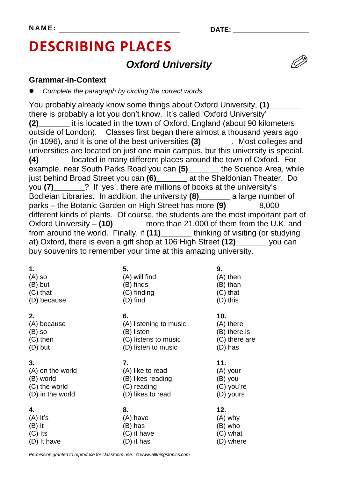### *Oxford University*

#### **Grammar-in-Context**

*Complete the paragraph by circling the correct words.*

You probably already know some things about Oxford University, **(1)\_\_\_\_\_\_\_** there is probably a lot you don't know. It's called 'Oxford University' **(2)\_\_\_\_\_\_\_** it is located in the town of Oxford, England (about 90 kilometers outside of London). Classes first began there almost a thousand years ago (in 1096), and it is one of the best universities **(3)\_\_\_\_\_\_\_**. Most colleges and universities are located on just one main campus, but this university is special. **(4)\_\_\_\_\_\_\_** located in many different places around the town of Oxford. For example, near South Parks Road you can **(5)\_\_\_\_\_\_\_** the Science Area, while just behind Broad Street you can **(6)\_\_\_\_\_\_\_** at the Sheldonian Theater. Do you **(7)\_\_\_\_\_\_\_**? If 'yes', there are millions of books at the university's Bodleian Libraries. In addition, the university **(8)\_\_\_\_\_\_\_** a large number of parks – the Botanic Garden on High Street has more **(9)\_\_\_\_\_\_\_** 8,000 different kinds of plants.Of course, the students are the most important part of Oxford University – **(10)\_\_\_\_\_\_\_** more than 21,000 of them from the U.K. and from around the world. Finally, if **(11)\_\_\_\_\_\_\_** thinking of visiting (or studying at) Oxford, there is even a gift shop at 106 High Street **(12)\_\_\_\_\_\_\_** you can buy souvenirs to remember your time at this amazing university.

| 1.               | 5.                     | 9.            |  |  |
|------------------|------------------------|---------------|--|--|
| $(A)$ so         | (A) will find          | $(A)$ then    |  |  |
| (B) but          | (B) finds              | (B) than      |  |  |
| $(C)$ that       | (C) finding            | $(C)$ that    |  |  |
| (D) because      | (D) find               | (D) this      |  |  |
| 2.               | 6.                     | 10.           |  |  |
| (A) because      | (A) listening to music | $(A)$ there   |  |  |
| $(B)$ so         | (B) listen             | (B) there is  |  |  |
| $(C)$ then       | (C) listens to music   | (C) there are |  |  |
| $(D)$ but        | (D) listen to music    | (D) has       |  |  |
| 3.               | 7.                     | 11.           |  |  |
| (A) on the world | (A) like to read       | (A) your      |  |  |
| (B) world        | (B) likes reading      | (B) you       |  |  |
| (C) the world    | (C) reading            | (C) you're    |  |  |
| (D) in the world | (D) likes to read      | (D) yours     |  |  |
| 4.               | 8.                     | 12.           |  |  |
| $(A)$ It's       | (A) have               | $(A)$ why     |  |  |
| $(B)$ It         | (B) has                | (B) who       |  |  |

*Permission granted to reproduce for classroom use. © www.allthingstopics.com*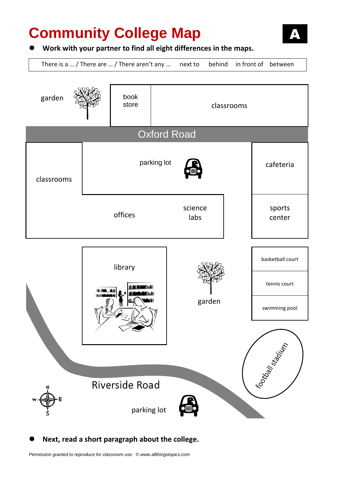# **Community College Map**



#### **Work with your partner to find all eight differences in the maps.**

There is a … / There are … / There aren't any … next to behind in front of between



#### **Next, read a short paragraph about the college.**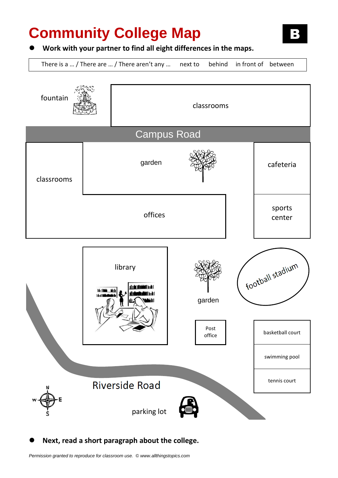# **Community College Map**

#### **Work with your partner to find all eight differences in the maps.**

There is a … / There are … / There aren't any … next to behind in front of between



**Next, read a short paragraph about the college.**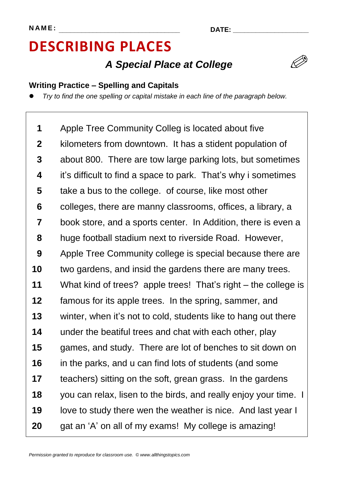### *A Special Place at College*

### **Writing Practice – Spelling and Capitals**

*Try to find the one spelling or capital mistake in each line of the paragraph below.*

**1 2 3 4 5 6 7 8 9 10 11 12 13 14 15 16 17 18 19 20** Apple Tree Community Colleg is located about five kilometers from downtown. It has a stident population of about 800. There are tow large parking lots, but sometimes it's difficult to find a space to park. That's why i sometimes take a bus to the college. of course, like most other colleges, there are manny classrooms, offices, a library, a book store, and a sports center. In Addition, there is even a huge football stadium next to riverside Road. However, Apple Tree Community college is special because there are two gardens, and insid the gardens there are many trees. What kind of trees? apple trees! That's right – the college is famous for its apple trees. In the spring, sammer, and winter, when it's not to cold, students like to hang out there under the beatiful trees and chat with each other, play games, and study. There are lot of benches to sit down on in the parks, and u can find lots of students (and some teachers) sitting on the soft, grean grass. In the gardens you can relax, lisen to the birds, and really enjoy your time. I love to study there wen the weather is nice. And last year I gat an 'A' on all of my exams! My college is amazing!

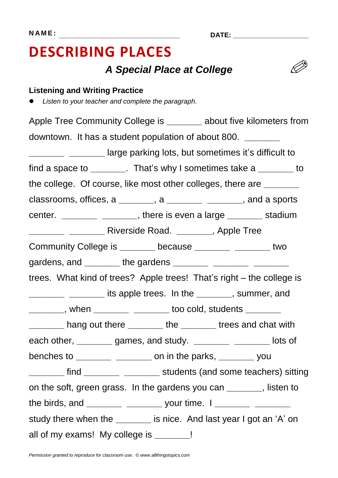### *A Special Place at College*



### **Listening and Writing Practice**

*Listen to your teacher and complete the paragraph.*

Apple Tree Community College is **about five kilometers from** downtown. It has a student population of about 800. **\_\_\_\_\_\_\_ <u>\_\_\_\_\_\_\_\_</u>** \_\_\_\_\_\_\_\_\_\_\_ large parking lots, but sometimes it's difficult to find a space to **\_\_\_\_\_\_\_**. That's why I sometimes take a **\_\_\_\_\_\_\_** to the college. Of course, like most other colleges, there are **\_\_\_\_\_\_\_** classrooms, offices, a **\_\_\_\_\_\_\_**, a **\_\_\_\_\_\_\_ \_\_\_\_\_\_\_**, and a sports center. **\_\_\_\_\_\_\_ \_\_\_\_\_\_\_**, there is even a large **\_\_\_\_\_\_\_** stadium **\_\_\_\_\_\_\_ \_\_\_\_\_\_\_** Riverside Road. **\_\_\_\_\_\_\_**, Apple Tree Community College is **\_\_\_\_\_\_\_** because **\_\_\_\_\_\_\_ \_\_\_\_\_\_\_** two gardens, and **\_\_\_\_\_\_\_** the gardens **\_\_\_\_\_\_\_ \_\_\_\_\_\_\_ \_\_\_\_\_\_\_** trees. What kind of trees? Apple trees! That's right – the college is **\_\_\_\_\_\_\_ \_\_\_\_\_\_\_** its apple trees. In the **\_\_\_\_\_\_\_**, summer, and **\_\_\_\_\_\_\_**, when **\_\_\_\_\_\_\_ \_\_\_\_\_\_\_** too cold, students **\_\_\_\_\_\_\_ \_\_\_\_\_\_\_** hang out there **\_\_\_\_\_\_\_** the **\_\_\_\_\_\_\_** trees and chat with each other, **\_\_\_\_\_\_\_** games, and study. **\_\_\_\_\_\_\_ \_\_\_\_\_\_\_** lots of benches to **\_\_\_\_\_\_\_ \_\_\_\_\_\_\_** on in the parks, **\_\_\_\_\_\_\_** you **\_\_\_\_\_\_\_** find **\_\_\_\_\_\_\_ \_\_\_\_\_\_\_** students (and some teachers) sitting on the soft, green grass. In the gardens you can **\_\_\_\_\_\_\_**, listen to the birds, and **\_\_\_\_\_\_\_ \_\_\_\_\_\_\_** your time. I **\_\_\_\_\_\_\_ \_\_\_\_\_\_\_** study there when the *u* is nice. And last year I got an 'A' on all of my exams! My college is **\_\_\_\_\_\_\_**!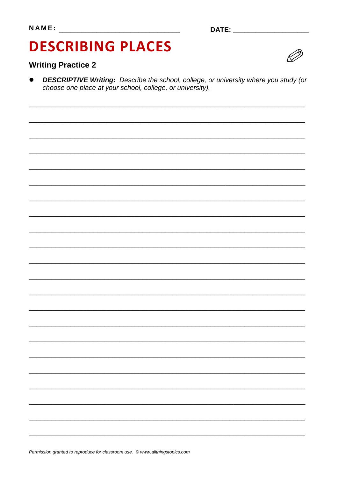# **DESCRIBING PLACES**

### **Writing Practice 2**



**DESCRIPTIVE Writing:** Describe the school, college, or university where you study (or choose one place at your school, college, or university).

Permission granted to reproduce for classroom use. © www.allthingstopics.com